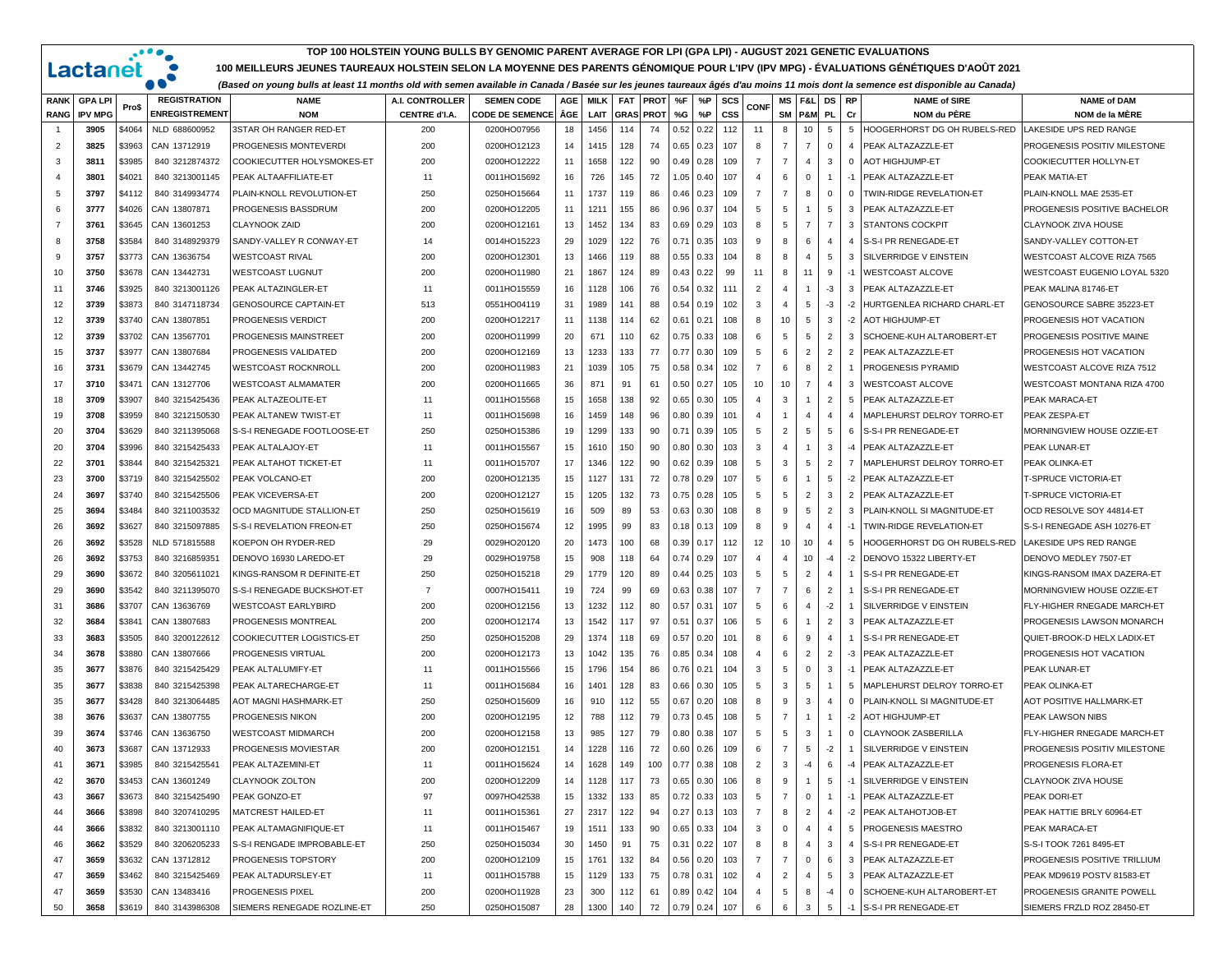## **TOP 100 HOLSTEIN YOUNG BULLS BY GENOMIC PARENT AVERAGE FOR LPI (GPA LPI) - AUGUST 2021 GENETIC EVALUATIONS**

 $\cdot \cdot \cdot \cdot$ 

 $\ddot{\phantom{a}}$  $\bullet$ 

Lactanet

**100 MEILLEURS JEUNES TAUREAUX HOLSTEIN SELON LA MOYENNE DES PARENTS GÉNOMIQUE POUR L'IPV (IPV MPG) - ÉVALUATIONS GÉNÉTIQUES D'AOÛT 2021**

*(Based on young bulls at least 11 months old with semen available in Canada / Basée sur les jeunes taureaux âgés d'au moins 11 mois dont la semence est disponible au Canada)*

| <b>RANK</b>    | <b>GPA LPI</b> | Pro\$  | <b>REGISTRATION</b>   | <b>NAME</b>                  | A.I. CONTROLLER      | <b>SEMEN CODE</b>      | AGE | <b>MILK</b> | <b>FAT</b>       | <b>PROT</b> | %F            | %P            | SCS        | <b>CONF</b>    | МS             | F&L             | DS                      | <b>RP</b>      | <b>NAME of SIRE</b>          | <b>NAME of DAM</b>              |
|----------------|----------------|--------|-----------------------|------------------------------|----------------------|------------------------|-----|-------------|------------------|-------------|---------------|---------------|------------|----------------|----------------|-----------------|-------------------------|----------------|------------------------------|---------------------------------|
| <b>RANG</b>    | <b>IPV MPG</b> |        | <b>ENREGISTREMENT</b> | <b>NOM</b>                   | <b>CENTRE d'I.A.</b> | <b>CODE DE SEMENCE</b> | ÂGE | LAIT        | <b>GRAS PROT</b> |             | %G            | %P            | <b>CSS</b> |                | SM             | <b>P&amp;M</b>  | <b>PL</b>               | Cr             | NOM du PÈRE                  | NOM de la MÊRE                  |
| $\overline{1}$ | 3905           | \$4064 | NLD 688600952         | 3STAR OH RANGER RED-ET       | 200                  | 0200HO07956            | 18  | 1456        | 114              | 74          | 0.52          | 0.22          | 112        | 11             | 8              | 10              | 5                       | 5              | HOOGERHORST DG OH RUBELS-RED | LAKESIDE UPS RED RANGE          |
| 2              | 3825           | \$3963 | CAN 13712919          | PROGENESIS MONTEVERDI        | 200                  | 0200HO12123            | 14  | 1415        | 128              | 74          | 0.65          | 0.23          | 107        | 8              | $\overline{7}$ | $\overline{7}$  | $\mathbf 0$             | $\overline{4}$ | PEAK ALTAZAZZLE-ET           | PROGENESIS POSITIV MILESTONE    |
| 3              | 3811           | \$3985 | 840 3212874372        | COOKIECUTTER HOLYSMOKES-ET   | 200                  | 0200HO12222            | 11  | 1658        | 122              | 90          | 0.49          | 0.28          | 109        | $\overline{7}$ | $\overline{7}$ | $\overline{4}$  | 3                       | $\mathbf 0$    | AOT HIGHJUMP-ET              | COOKIECUTTER HOLLYN-ET          |
| $\overline{4}$ | 3801           | \$4021 | 840 3213001145        | PEAK ALTAAFFILIATE-ET        | 11                   | 0011HO15692            | 16  | 726         | 145              | 72          | 1.05          | 0.40          | 107        | $\overline{4}$ | 6              | $\mathbf 0$     | $\overline{1}$          | $-1$           | PEAK ALTAZAZZLE-ET           | PEAK MATIA-ET                   |
| -5             | 3797           | \$4112 | 840 3149934774        | PLAIN-KNOLL REVOLUTION-ET    | 250                  | 0250HO15664            | 11  | 1737        | 119              | 86          | 0.46          | 0.23          | 109        | $\overline{7}$ | $\overline{7}$ | 8               | $\overline{\mathbf{0}}$ | $\mathbf{0}$   | TWIN-RIDGE REVELATION-ET     | PLAIN-KNOLL MAE 2535-ET         |
| -6             | 3777           | \$4026 | CAN 13807871          | PROGENESIS BASSDRUM          | 200                  | 0200HO12205            | 11  | 1211        | 155              | 86          | 0.96          | 0.37          | 104        | 5              | 5              | $\mathbf{1}$    | 5                       | 3              | PEAK ALTAZAZZLE-ET           | PROGENESIS POSITIVE BACHELOR    |
| $\overline{7}$ | 3761           | \$3645 | CAN 13601253          | <b>CLAYNOOK ZAID</b>         | 200                  | 0200HO12161            | 13  | 1452        | 134              | 83          | 0.69          | 0.29          | 103        | 8              | 5              | $7^{\circ}$     | $\overline{7}$          | 3              | <b>STANTONS COCKPIT</b>      | CLAYNOOK ZIVA HOUSE             |
| 8              | 3758           | \$3584 | 840 3148929379        | SANDY-VALLEY R CONWAY-ET     | 14                   | 0014HO15223            | 29  | 1029        | 122              | 76          | $0.7^{\circ}$ | 0.35          | 103        | 9              | 8              | 6               | $\overline{4}$          | $\overline{4}$ | S-S-I PR RENEGADE-ET         | SANDY-VALLEY COTTON-ET          |
| 9              | 3757           | \$3773 | CAN 13636754          | WESTCOAST RIVAL              | 200                  | 0200HO12301            | 13  | 1466        | 119              | 88          | 0.55          | 0.33          | 104        | 8              | 8              | $\overline{4}$  | 5                       | 3              | SILVERRIDGE V EINSTEIN       | WESTCOAST ALCOVE RIZA 7565      |
| 10             | 3750           | \$3678 | CAN 13442731          | <b>WESTCOAST LUGNUT</b>      | 200                  | 0200HO11980            | 21  | 1867        | 124              | 89          | 0.43          | 0.22          | 99         | 11             | 8              | 11              | 9                       | $-1$           | <b>WESTCOAST ALCOVE</b>      | WESTCOAST EUGENIO LOYAL 5320    |
| 11             | 3746           | \$3925 | 840 3213001126        | PEAK ALTAZINGLER-ET          | 11                   | 0011HO15559            | 16  | 1128        | 106              | 76          | 0.54          | 0.32          | 111        | $\overline{2}$ | $\overline{4}$ | $\mathbf{1}$    | $-3$                    | 3              | PEAK ALTAZAZZLE-ET           | PEAK MALINA 81746-ET            |
| 12             | 3739           | \$3873 | 840 3147118734        | <b>GENOSOURCE CAPTAIN-ET</b> | 513                  | 0551HO04119            | 31  | 1989        | 141              | 88          | 0.54          | 0.19          | 102        | 3              | $\overline{4}$ | 5               | -3                      | $-2$           | HURTGENLEA RICHARD CHARL-ET  | GENOSOURCE SABRE 35223-ET       |
| 12             | 3739           | \$3740 | CAN 13807851          | PROGENESIS VERDICT           | 200                  | 0200HO12217            | 11  | 1138        | 114              | 62          | $0.6^{\circ}$ | 0.21          | 108        | 8              | 10             | 5               | $\overline{3}$          | $-2$           | <b>AOT HIGHJUMP-ET</b>       | PROGENESIS HOT VACATION         |
| 12             | 3739           | \$3702 | CAN 13567701          | PROGENESIS MAINSTREET        | 200                  | 0200HO11999            | 20  | 671         | 110              | 62          | 0.75          | 0.33          | 108        | 6              | 5              | $5\overline{5}$ | $\overline{2}$          | 3              | SCHOENE-KUH ALTAROBERT-ET    | PROGENESIS POSITIVE MAINE       |
| 15             | 3737           | \$3977 | CAN 13807684          | PROGENESIS VALIDATED         | 200                  | 0200HO12169            | 13  | 1233        | 133              | 77          | 0.77          | 0.30          | 109        | 5              | 6              | $\overline{2}$  | $\overline{2}$          | $\overline{2}$ | PEAK ALTAZAZZLE-ET           | PROGENESIS HOT VACATION         |
| 16             | 3731           | \$3679 | CAN 13442745          | <b>WESTCOAST ROCKNROLL</b>   | 200                  | 0200HO11983            | 21  | 1039        | 105              | 75          | 0.58          | 0.34          | 102        | $\overline{7}$ | 6              | 8               | $\overline{2}$          |                | PROGENESIS PYRAMID           | WESTCOAST ALCOVE RIZA 7512      |
| 17             | 3710           | \$3471 | CAN 13127706          | WESTCOAST ALMAMATER          | 200                  | 0200HO11665            | 36  | 871         | 91               | 61          | 0.50          | 0.27          | 105        | 10             | 10             | $\overline{7}$  | $\overline{4}$          | 3              | <b>WESTCOAST ALCOVE</b>      | WESTCOAST MONTANA RIZA 4700     |
| 18             | 3709           | \$3907 | 840 3215425436        | PEAK ALTAZEOLITE-ET          | 11                   | 0011HO15568            | 15  | 1658        | 138              | 92          | 0.65          | 0.30          | 105        | $\overline{4}$ | 3              | $\mathbf{1}$    | $\overline{2}$          | 5              | PEAK ALTAZAZZLE-ET           | PEAK MARACA-ET                  |
| 19             | 3708           | \$3959 | 840 3212150530        | PEAK ALTANEW TWIST-ET        | 11                   | 0011HO15698            | 16  | 1459        | 148              | 96          | 0.80          | 0.39          | 101        | $\overline{4}$ | -1             | 4               | $\overline{4}$          | $\overline{4}$ | MAPLEHURST DELROY TORRO-ET   | PEAK ZESPA-ET                   |
| 20             | 3704           | \$3629 | 840 3211395068        | S-S-I RENEGADE FOOTLOOSE-ET  | 250                  | 0250HO15386            | 19  | 1299        | 133              | 90          | 0.71          | 0.39          | 105        | 5              | $\overline{2}$ | 5               | 5                       | 6              | S-S-I PR RENEGADE-ET         | MORNINGVIEW HOUSE OZZIE-ET      |
| 20             | 3704           | \$3996 | 840 3215425433        | PEAK ALTALAJOY-ET            | 11                   | 0011HO15567            | 15  | 1610        | 150              | 90          | 0.80          | 0.30          | 103        | 3              | $\overline{4}$ | $\mathbf{1}$    | $\overline{\mathbf{3}}$ | $-4$           | PEAK ALTAZAZZLE-ET           | PEAK LUNAR-ET                   |
| 22             | 3701           | \$3844 | 840 3215425321        | PEAK ALTAHOT TICKET-ET       | 11                   | 0011HO15707            | 17  | 1346        | 122              | 90          | 0.62          | 0.39          | 108        | 5              | 3              | 5               | $\overline{2}$          | $\overline{7}$ | MAPLEHURST DELROY TORRO-ET   | PEAK OLINKA-ET                  |
| 23             | 3700           | \$3719 | 840 3215425502        | PEAK VOLCANO-ET              | 200                  | 0200HO12135            | 15  | 1127        | 131              | 72          | 0.78          | 0.29          | 107        | 5              | 6              | $\mathbf{1}$    | 5                       | $-2$           | PEAK ALTAZAZZLE-ET           | T-SPRUCE VICTORIA-ET            |
| 24             | 3697           | \$3740 | 840 3215425506        | PEAK VICEVERSA-ET            | 200                  | 0200HO12127            | 15  | 1205        | 132              | 73          | 0.75          | 0.28          | 105        | 5              | 5              | $\overline{2}$  | 3                       | $\overline{2}$ | PEAK ALTAZAZZLE-ET           | <b>T-SPRUCE VICTORIA-ET</b>     |
| 25             | 3694           | \$3484 | 840 3211003532        | OCD MAGNITUDE STALLION-ET    | 250                  | 0250HO15619            | 16  | 509         | 89               | 53          | 0.63          | 0.30          | 108        | 8              | 9              | $5^{\circ}$     | $\overline{2}$          | 3              | PLAIN-KNOLL SI MAGNITUDE-ET  | OCD RESOLVE SOY 44814-ET        |
| 26             | 3692           | \$3627 | 840 3215097885        | S-S-I REVELATION FREON-ET    | 250                  | 0250HO15674            | 12  | 1995        | 99               | 83          | 0.18          | 0.13          | 109        | 8              | 9              | $\overline{4}$  | $\overline{4}$          | $-1$           | TWIN-RIDGE REVELATION-ET     | S-S-I RENEGADE ASH 10276-ET     |
| 26             | 3692           | \$3528 | NLD 571815588         | KOEPON OH RYDER-RED          | 29                   | 0029HO20120            | 20  | 1473        | 100              | 68          | 0.39          | 0.17          | 112        | 12             | 10             | 10              | $\overline{4}$          | 5              | HOOGERHORST DG OH RUBELS-RED | LAKESIDE UPS RED RANGE          |
| 26             | 3692           | \$3753 | 840 3216859351        | DENOVO 16930 LAREDO-ET       | 29                   | 0029HO19758            | 15  | 908         | 118              | 64          | 0.74          | 0.29          | 107        | 4              | $\overline{4}$ | 10              | $-4$                    | $-2$           | DENOVO 15322 LIBERTY-ET      | DENOVO MEDLEY 7507-ET           |
| 29             | 3690           | \$3672 | 840 3205611021        | KINGS-RANSOM R DEFINITE-ET   | 250                  | 0250HO15218            | 29  | 1779        | 120              | 89          | 0.44          | 0.25          | 103        | 5              | 5              | $\overline{2}$  | $\overline{4}$          | $\mathbf{1}$   | S-S-I PR RENEGADE-ET         | KINGS-RANSOM IMAX DAZERA-ET     |
| 29             | 3690           | \$3542 | 840 3211395070        | S-S-I RENEGADE BUCKSHOT-ET   | $\overline{7}$       | 0007HO15411            | 19  | 724         | 99               | 69          | 0.63          | 0.38          | 107        | $\overline{7}$ | $\overline{7}$ | 6               | $\overline{2}$          | $\overline{1}$ | S-S-I PR RENEGADE-ET         | MORNINGVIEW HOUSE OZZIE-ET      |
| 31             | 3686           | \$3707 | CAN 13636769          | <b>WESTCOAST EARLYBIRD</b>   | 200                  | 0200HO12156            | 13  | 1232        | 112              | 80          | 0.57          | 0.31          | 107        | 5              | 6              | $\overline{4}$  | $-2$                    |                | SILVERRIDGE V EINSTEIN       | FLY-HIGHER RNEGADE MARCH-ET     |
| 32             | 3684           | \$3841 | CAN 13807683          | PROGENESIS MONTREAL          | 200                  | 0200HO12174            | 13  | 1542        | 117              | 97          | 0.51          | 0.37          | 106        | 5              | 6              | $\mathbf{1}$    | $\overline{2}$          | 3              | PEAK ALTAZAZZLE-ET           | PROGENESIS LAWSON MONARCH       |
| 33             | 3683           | \$3505 | 840 3200122612        | COOKIECUTTER LOGISTICS-ET    | 250                  | 0250HO15208            | 29  | 1374        | 118              | 69          | 0.57          | 0.20          | 101        | 8              | 6              | 9               | $\overline{4}$          | $\overline{1}$ | S-S-I PR RENEGADE-ET         | QUIET-BROOK-D HELX LADIX-ET     |
| 34             | 3678           | \$3880 | CAN 13807666          | PROGENESIS VIRTUAL           | 200                  | 0200HO12173            | 13  | 1042        | 135              | 76          | 0.85          | 0.34          | 108        | $\overline{4}$ | 6              | $\overline{2}$  | $\overline{2}$          |                | -3 PEAK ALTAZAZZLE-ET        | PROGENESIS HOT VACATION         |
| 35             | 3677           | \$3876 | 840 3215425429        | PEAK ALTALUMIFY-ET           | 11                   | 0011HO15566            | 15  | 1796        | 154              | 86          | 0.76          | 0.21          | 104        | 3              | 5              | $\mathbf 0$     | 3                       | $-1$           | PEAK ALTAZAZZLE-ET           | PEAK LUNAR-ET                   |
| 35             | 3677           | \$3838 | 840 3215425398        | PEAK ALTARECHARGE-ET         | 11                   | 0011HO15684            | 16  | 1401        | 128              | 83          | 0.66          | 0.30          | 105        | 5              | 3              | 5               |                         | 5              | MAPLEHURST DELROY TORRO-ET   | PEAK OLINKA-ET                  |
| 35             | 3677           | \$3428 | 840 3213064485        | AOT MAGNI HASHMARK-ET        | 250                  | 0250HO15609            | 16  | 910         | 112              | 55          | 0.67          | 0.20          | 108        | 8              | 9              | $\mathbf{3}$    | $\overline{4}$          | $\mathbf{0}$   | PLAIN-KNOLL SI MAGNITUDE-ET  | <b>AOT POSITIVE HALLMARK-ET</b> |
| 38             | 3676           | \$3637 | CAN 13807755          | PROGENESIS NIKON             | 200                  | 0200HO12195            | 12  | 788         | 112              | 79          | 0.73          | 0.45          | 108        | 5              | $\overline{7}$ | $\mathbf{1}$    | -1                      | $-2$           | <b>AOT HIGHJUMP-ET</b>       | PEAK LAWSON NIBS                |
| 39             | 3674           | \$3746 | CAN 13636750          | <b>WESTCOAST MIDMARCH</b>    | 200                  | 0200HO12158            | 13  | 985         | 127              | 79          | 0.80          | 0.38          | 107        | 5              | 5              | 3               | -1                      | $\mathbf{0}$   | <b>CLAYNOOK ZASBERILLA</b>   | FLY-HIGHER RNEGADE MARCH-ET     |
| 40             | 3673           | \$3687 | CAN 13712933          | PROGENESIS MOVIESTAR         | 200                  | 0200HO12151            | 14  | 1228        | 116              | 72          | 0.60          | 0.26          | 109        | 6              | $\overline{7}$ | 5               | $-2$                    | $\mathbf{1}$   | SILVERRIDGE V EINSTEIN       | PROGENESIS POSITIV MILESTONE    |
| 41             | 3671           | \$3985 | 840 3215425541        | PEAK ALTAZEMINI-ET           | 11                   | 0011HO15624            | 14  | 1628        | 149              | 100         | 0.77          | 0.38          | 108        | 2              | 3              | $-4$            | 6                       | $-4$           | PEAK ALTAZAZZLE-ET           | PROGENESIS FLORA-ET             |
| 42             | 3670           | \$3453 | CAN 13601249          | CLAYNOOK ZOLTON              | 200                  | 0200HO12209            | 14  | 1128        | 117              | 73          | 0.65          | 0.30          | 106        | 8              | 9              | $\mathbf{1}$    | 5                       | $-1$           | SILVERRIDGE V EINSTEIN       | CLAYNOOK ZIVA HOUSE             |
| 43             | 3667           | \$3673 | 840 3215425490        | PEAK GONZO-ET                | 97                   | 0097HO42538            | 15  | 1332        | 133              | 85          |               | $0.72 \ 0.33$ | 103        | 5              | 7              | $\mathbf 0$     |                         | -1             | PEAK ALTAZAZZLE-ET           | PEAK DORI-ET                    |
| 44             | 3666           | \$3898 | 840 3207410295        | MATCREST HAILED-ET           | 11                   | 0011HO15361            | 27  | 2317        | 122              | 94          |               | $0.27$ 0.13   | 103        | $\overline{7}$ | 8              | $\overline{2}$  | $\overline{4}$          |                | -2 PEAK ALTAHOTJOB-ET        | PEAK HATTIE BRLY 60964-ET       |
| 44             | 3666           | \$3832 | 840 3213001110        | PEAK ALTAMAGNIFIQUE-ET       | 11                   | 0011HO15467            | 19  | 1511        | 133              | 90          | 0.65          | 0.33          | 104        |                | $\Omega$       | $\overline{4}$  | $\overline{4}$          |                | 5 PROGENESIS MAESTRO         | PEAK MARACA-ET                  |
| 46             | 3662           | \$3529 | 840 3206205233        | S-S-I RENGADE IMPROBABLE-ET  | 250                  | 0250HO15034            | 30  | 1450        | 91               | 75          | 0.31          | 0.22          | 107        | 8              | 8              | $\overline{4}$  | $\mathbf{3}$            |                | 4 S-S-I PR RENEGADE-ET       | S-S-I TOOK 7261 8495-ET         |
| 47             | 3659           | \$3632 | CAN 13712812          | PROGENESIS TOPSTORY          | 200                  | 0200HO12109            | 15  | 1761        | 132              | 84          | 0.56          | 0.20          | 103        |                | $\overline{7}$ | $\mathbf{0}$    | 6                       |                | 3 PEAK ALTAZAZZLE-ET         | PROGENESIS POSITIVE TRILLIUM    |
| 47             | 3659           | \$3462 | 840 3215425469        | PEAK ALTADURSLEY-ET          | 11                   | 0011HO15788            | 15  | 1129        | 133              | 75          | 0.78          | 0.31          | 102        |                | $\overline{2}$ | $\overline{4}$  | 5                       |                | 3 PEAK ALTAZAZZLE-ET         | PEAK MD9619 POSTV 81583-ET      |
| 47             | 3659           | \$3530 | CAN 13483416          | PROGENESIS PIXEL             | 200                  | 0200HO11928            | 23  | 300         | 112              | 61          | 0.89          | 0.42          | 104        |                | 5              | 8               | $-4$                    |                | 0 SCHOENE-KUH ALTAROBERT-ET  | PROGENESIS GRANITE POWELL       |
| 50             | 3658           | \$3619 | 840 3143986308        | SIEMERS RENEGADE ROZLINE-ET  | 250                  | 0250HO15087            | 28  | 1300        | 140              | 72          | $0.79$ 0.24   |               | 107        | 6              | 6              | $\mathbf{3}$    | 5                       | $-1$           | S-S-I PR RENEGADE-ET         | SIEMERS FRZLD ROZ 28450-ET      |